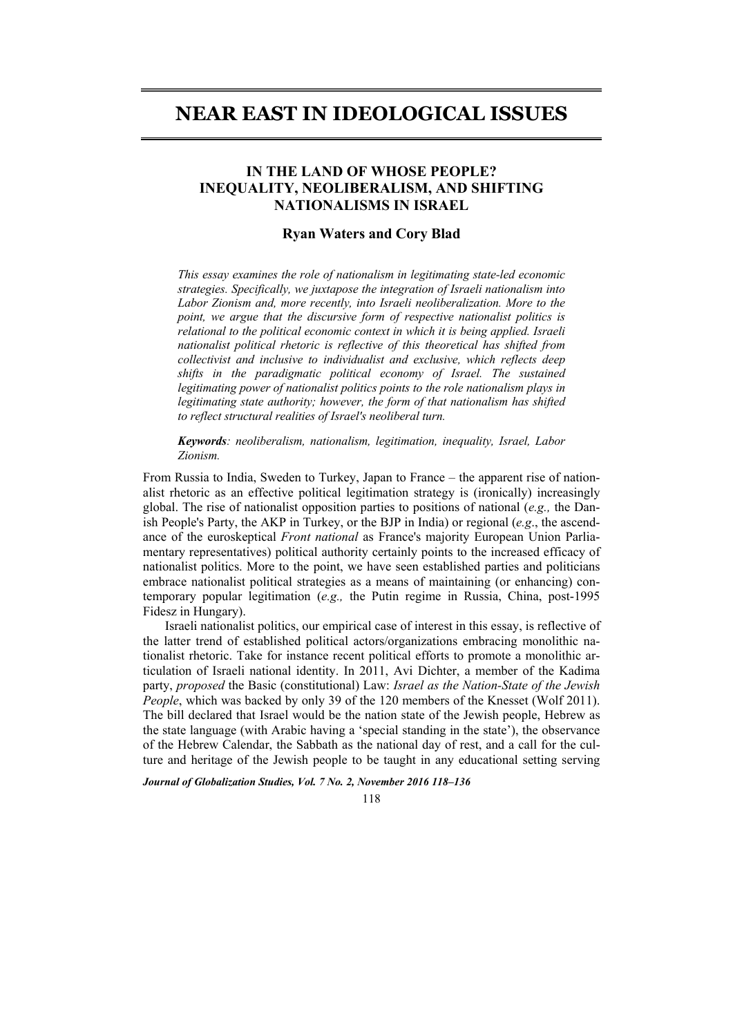# **NEAR EAST IN IDEOLOGICAL ISSUES**

## **IN THE LAND OF WHOSE PEOPLE? INEQUALITY, NEOLIBERALISM, AND SHIFTING NATIONALISMS IN ISRAEL**

#### **Ryan Waters and Cory Blad**

*This essay examines the role of nationalism in legitimating state-led economic strategies. Specifically, we juxtapose the integration of Israeli nationalism into Labor Zionism and, more recently, into Israeli neoliberalization. More to the point, we argue that the discursive form of respective nationalist politics is relational to the political economic context in which it is being applied. Israeli nationalist political rhetoric is reflective of this theoretical has shifted from collectivist and inclusive to individualist and exclusive, which reflects deep shifts in the paradigmatic political economy of Israel. The sustained legitimating power of nationalist politics points to the role nationalism plays in legitimating state authority; however, the form of that nationalism has shifted to reflect structural realities of Israel's neoliberal turn.* 

*Keywords: neoliberalism, nationalism, legitimation, inequality, Israel, Labor Zionism.* 

From Russia to India, Sweden to Turkey, Japan to France – the apparent rise of nationalist rhetoric as an effective political legitimation strategy is (ironically) increasingly global. The rise of nationalist opposition parties to positions of national (*e.g.,* the Danish People's Party, the AKP in Turkey, or the BJP in India) or regional (*e.g*., the ascendance of the euroskeptical *Front national* as France's majority European Union Parliamentary representatives) political authority certainly points to the increased efficacy of nationalist politics. More to the point, we have seen established parties and politicians embrace nationalist political strategies as a means of maintaining (or enhancing) contemporary popular legitimation (*e.g.,* the Putin regime in Russia, China, post-1995 Fidesz in Hungary).

Israeli nationalist politics, our empirical case of interest in this essay, is reflective of the latter trend of established political actors/organizations embracing monolithic nationalist rhetoric. Take for instance recent political efforts to promote a monolithic articulation of Israeli national identity. In 2011, Avi Dichter, a member of the Kadima party, *proposed* the Basic (constitutional) Law: *Israel as the Nation-State of the Jewish People*, which was backed by only 39 of the 120 members of the Knesset (Wolf 2011). The bill declared that Israel would be the nation state of the Jewish people, Hebrew as the state language (with Arabic having a 'special standing in the state'), the observance of the Hebrew Calendar, the Sabbath as the national day of rest, and a call for the culture and heritage of the Jewish people to be taught in any educational setting serving

*Journal of Globalization Studies, Vol. 7 No. 2, November 2016 118–136* 

118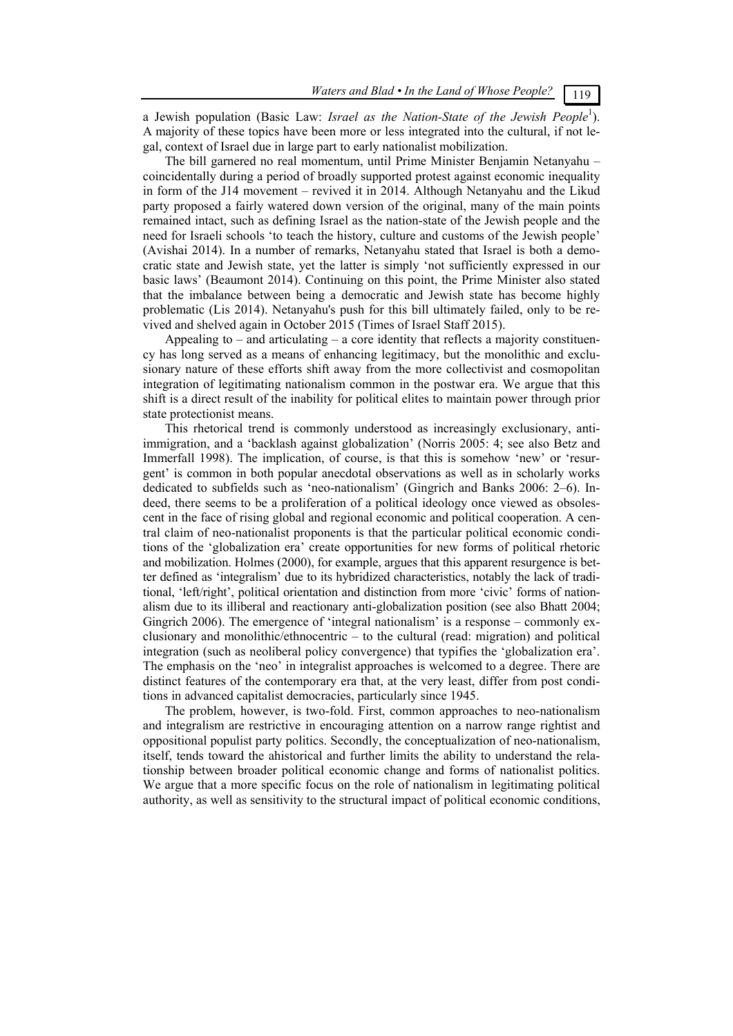a Jewish population (Basic Law: *Israel as the Nation-State of the Jewish People*<sup>1</sup>). A majority of these topics have been more or less integrated into the cultural, if not legal, context of Israel due in large part to early nationalist mobilization.

The bill garnered no real momentum, until Prime Minister Benjamin Netanyahu – coincidentally during a period of broadly supported protest against economic inequality in form of the J14 movement – revived it in 2014. Although Netanyahu and the Likud party proposed a fairly watered down version of the original, many of the main points remained intact, such as defining Israel as the nation-state of the Jewish people and the need for Israeli schools 'to teach the history, culture and customs of the Jewish people' (Avishai 2014). In a number of remarks, Netanyahu stated that Israel is both a democratic state and Jewish state, yet the latter is simply 'not sufficiently expressed in our basic laws' (Beaumont 2014). Continuing on this point, the Prime Minister also stated that the imbalance between being a democratic and Jewish state has become highly problematic (Lis 2014). Netanyahu's push for this bill ultimately failed, only to be revived and shelved again in October 2015 (Times of Israel Staff 2015).

Appealing to  $-$  and articulating  $-$  a core identity that reflects a majority constituency has long served as a means of enhancing legitimacy, but the monolithic and exclusionary nature of these efforts shift away from the more collectivist and cosmopolitan integration of legitimating nationalism common in the postwar era. We argue that this shift is a direct result of the inability for political elites to maintain power through prior state protectionist means.

This rhetorical trend is commonly understood as increasingly exclusionary, antiimmigration, and a 'backlash against globalization' (Norris 2005: 4; see also Betz and Immerfall 1998). The implication, of course, is that this is somehow 'new' or 'resurgent' is common in both popular anecdotal observations as well as in scholarly works dedicated to subfields such as 'neo-nationalism' (Gingrich and Banks 2006: 2–6). Indeed, there seems to be a proliferation of a political ideology once viewed as obsolescent in the face of rising global and regional economic and political cooperation. A central claim of neo-nationalist proponents is that the particular political economic conditions of the 'globalization era' create opportunities for new forms of political rhetoric and mobilization. Holmes (2000), for example, argues that this apparent resurgence is better defined as 'integralism' due to its hybridized characteristics, notably the lack of traditional, 'left/right', political orientation and distinction from more 'civic' forms of nationalism due to its illiberal and reactionary anti-globalization position (see also Bhatt 2004; Gingrich 2006). The emergence of 'integral nationalism' is a response – commonly exclusionary and monolithic/ethnocentric – to the cultural (read: migration) and political integration (such as neoliberal policy convergence) that typifies the 'globalization era'. The emphasis on the 'neo' in integralist approaches is welcomed to a degree. There are distinct features of the contemporary era that, at the very least, differ from post conditions in advanced capitalist democracies, particularly since 1945.

The problem, however, is two-fold. First, common approaches to neo-nationalism and integralism are restrictive in encouraging attention on a narrow range rightist and oppositional populist party politics. Secondly, the conceptualization of neo-nationalism, itself, tends toward the ahistorical and further limits the ability to understand the relationship between broader political economic change and forms of nationalist politics. We argue that a more specific focus on the role of nationalism in legitimating political authority, as well as sensitivity to the structural impact of political economic conditions,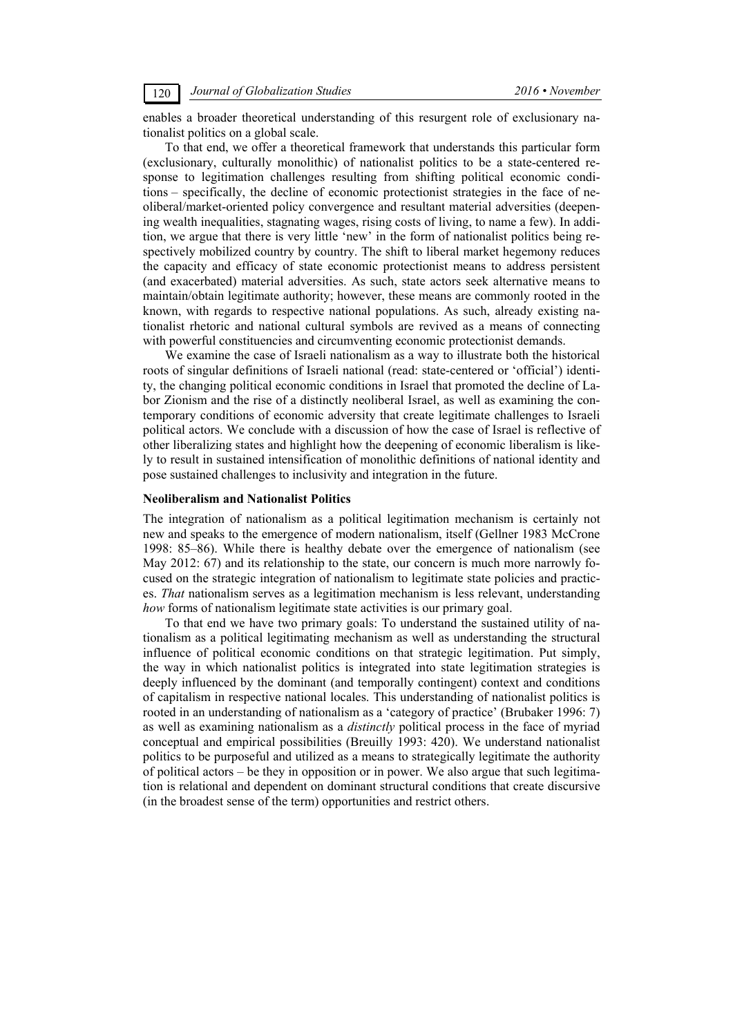enables a broader theoretical understanding of this resurgent role of exclusionary nationalist politics on a global scale.

To that end, we offer a theoretical framework that understands this particular form (exclusionary, culturally monolithic) of nationalist politics to be a state-centered response to legitimation challenges resulting from shifting political economic conditions – specifically, the decline of economic protectionist strategies in the face of neoliberal/market-oriented policy convergence and resultant material adversities (deepening wealth inequalities, stagnating wages, rising costs of living, to name a few). In addition, we argue that there is very little 'new' in the form of nationalist politics being respectively mobilized country by country. The shift to liberal market hegemony reduces the capacity and efficacy of state economic protectionist means to address persistent (and exacerbated) material adversities. As such, state actors seek alternative means to maintain/obtain legitimate authority; however, these means are commonly rooted in the known, with regards to respective national populations. As such, already existing nationalist rhetoric and national cultural symbols are revived as a means of connecting with powerful constituencies and circumventing economic protectionist demands.

We examine the case of Israeli nationalism as a way to illustrate both the historical roots of singular definitions of Israeli national (read: state-centered or 'official') identity, the changing political economic conditions in Israel that promoted the decline of Labor Zionism and the rise of a distinctly neoliberal Israel, as well as examining the contemporary conditions of economic adversity that create legitimate challenges to Israeli political actors. We conclude with a discussion of how the case of Israel is reflective of other liberalizing states and highlight how the deepening of economic liberalism is likely to result in sustained intensification of monolithic definitions of national identity and pose sustained challenges to inclusivity and integration in the future.

#### **Neoliberalism and Nationalist Politics**

The integration of nationalism as a political legitimation mechanism is certainly not new and speaks to the emergence of modern nationalism, itself (Gellner 1983 McCrone 1998: 85–86). While there is healthy debate over the emergence of nationalism (see May 2012: 67) and its relationship to the state, our concern is much more narrowly focused on the strategic integration of nationalism to legitimate state policies and practices. *That* nationalism serves as a legitimation mechanism is less relevant, understanding *how* forms of nationalism legitimate state activities is our primary goal.

To that end we have two primary goals: To understand the sustained utility of nationalism as a political legitimating mechanism as well as understanding the structural influence of political economic conditions on that strategic legitimation. Put simply, the way in which nationalist politics is integrated into state legitimation strategies is deeply influenced by the dominant (and temporally contingent) context and conditions of capitalism in respective national locales. This understanding of nationalist politics is rooted in an understanding of nationalism as a 'category of practice' (Brubaker 1996: 7) as well as examining nationalism as a *distinctly* political process in the face of myriad conceptual and empirical possibilities (Breuilly 1993: 420). We understand nationalist politics to be purposeful and utilized as a means to strategically legitimate the authority of political actors – be they in opposition or in power. We also argue that such legitimation is relational and dependent on dominant structural conditions that create discursive (in the broadest sense of the term) opportunities and restrict others.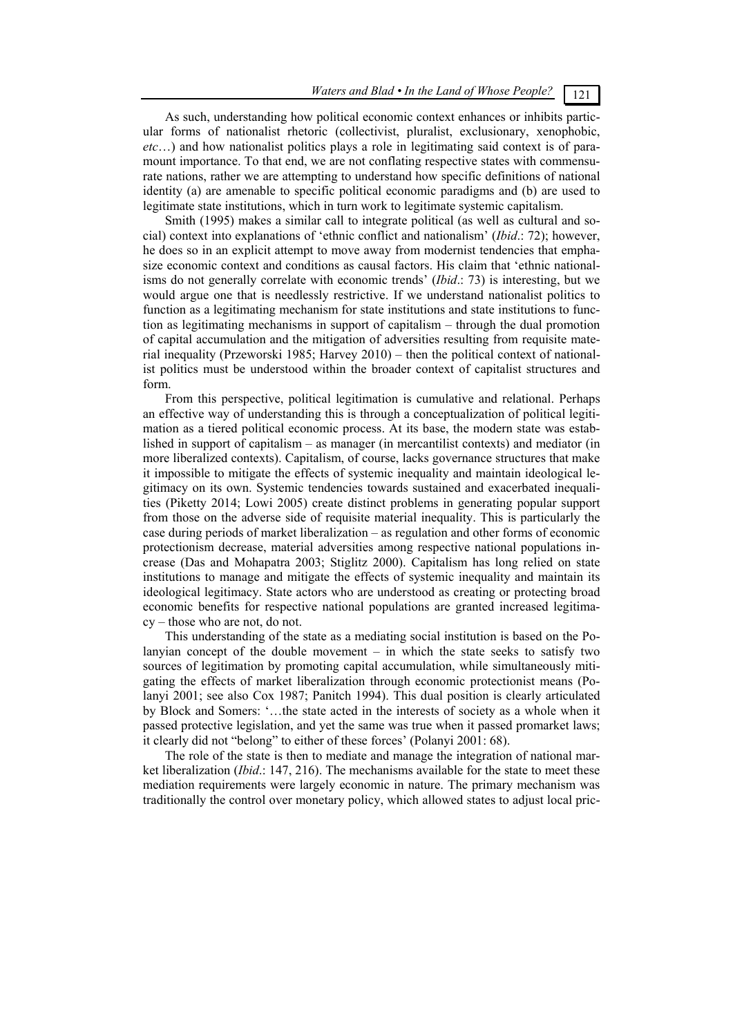### As such, understanding how political economic context enhances or inhibits particular forms of nationalist rhetoric (collectivist, pluralist, exclusionary, xenophobic, *etc*…) and how nationalist politics plays a role in legitimating said context is of paramount importance. To that end, we are not conflating respective states with commensurate nations, rather we are attempting to understand how specific definitions of national identity (a) are amenable to specific political economic paradigms and (b) are used to legitimate state institutions, which in turn work to legitimate systemic capitalism.

Smith (1995) makes a similar call to integrate political (as well as cultural and social) context into explanations of 'ethnic conflict and nationalism' (*Ibid*.: 72); however, he does so in an explicit attempt to move away from modernist tendencies that emphasize economic context and conditions as causal factors. His claim that 'ethnic nationalisms do not generally correlate with economic trends' (*Ibid*.: 73) is interesting, but we would argue one that is needlessly restrictive. If we understand nationalist politics to function as a legitimating mechanism for state institutions and state institutions to function as legitimating mechanisms in support of capitalism – through the dual promotion of capital accumulation and the mitigation of adversities resulting from requisite material inequality (Przeworski 1985; Harvey 2010) – then the political context of nationalist politics must be understood within the broader context of capitalist structures and form.

From this perspective, political legitimation is cumulative and relational. Perhaps an effective way of understanding this is through a conceptualization of political legitimation as a tiered political economic process. At its base, the modern state was established in support of capitalism – as manager (in mercantilist contexts) and mediator (in more liberalized contexts). Capitalism, of course, lacks governance structures that make it impossible to mitigate the effects of systemic inequality and maintain ideological legitimacy on its own. Systemic tendencies towards sustained and exacerbated inequalities (Piketty 2014; Lowi 2005) create distinct problems in generating popular support from those on the adverse side of requisite material inequality. This is particularly the case during periods of market liberalization – as regulation and other forms of economic protectionism decrease, material adversities among respective national populations increase (Das and Mohapatra 2003; Stiglitz 2000). Capitalism has long relied on state institutions to manage and mitigate the effects of systemic inequality and maintain its ideological legitimacy. State actors who are understood as creating or protecting broad economic benefits for respective national populations are granted increased legitimacy – those who are not, do not.

This understanding of the state as a mediating social institution is based on the Polanyian concept of the double movement – in which the state seeks to satisfy two sources of legitimation by promoting capital accumulation, while simultaneously mitigating the effects of market liberalization through economic protectionist means (Polanyi 2001; see also Cox 1987; Panitch 1994). This dual position is clearly articulated by Block and Somers: '…the state acted in the interests of society as a whole when it passed protective legislation, and yet the same was true when it passed promarket laws; it clearly did not "belong" to either of these forces' (Polanyi 2001: 68).

The role of the state is then to mediate and manage the integration of national market liberalization (*Ibid*.: 147, 216). The mechanisms available for the state to meet these mediation requirements were largely economic in nature. The primary mechanism was traditionally the control over monetary policy, which allowed states to adjust local pric-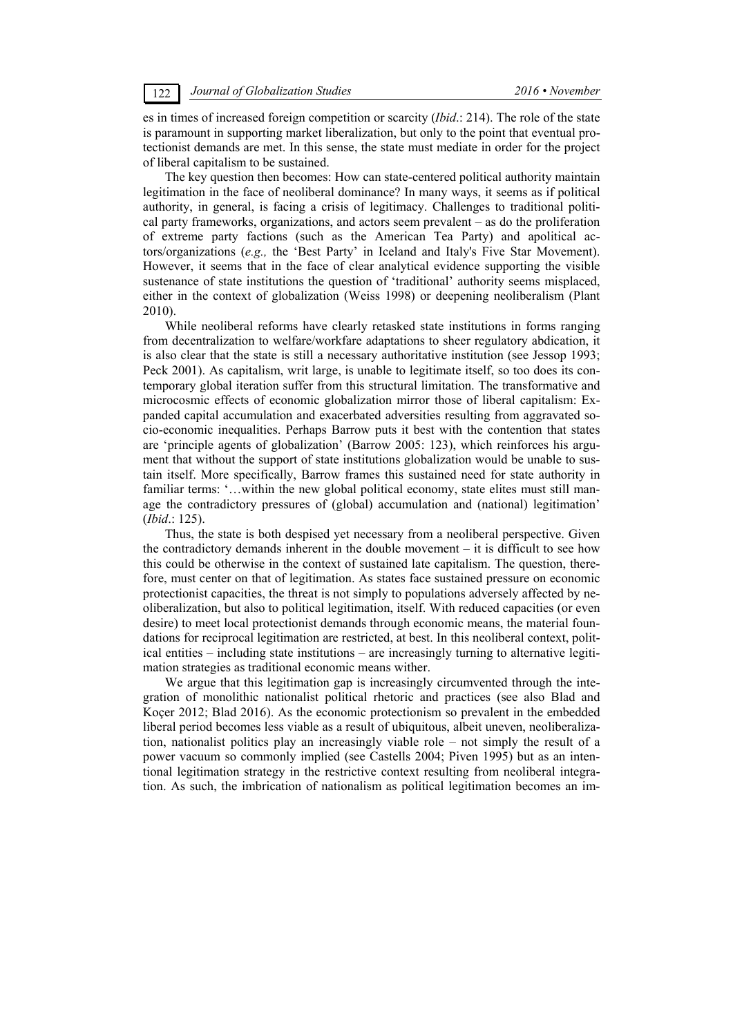es in times of increased foreign competition or scarcity (*Ibid*.: 214). The role of the state is paramount in supporting market liberalization, but only to the point that eventual protectionist demands are met. In this sense, the state must mediate in order for the project of liberal capitalism to be sustained.

The key question then becomes: How can state-centered political authority maintain legitimation in the face of neoliberal dominance? In many ways, it seems as if political authority, in general, is facing a crisis of legitimacy. Challenges to traditional political party frameworks, organizations, and actors seem prevalent – as do the proliferation of extreme party factions (such as the American Tea Party) and apolitical actors/organizations (*e.g.,* the 'Best Party' in Iceland and Italy's Five Star Movement). However, it seems that in the face of clear analytical evidence supporting the visible sustenance of state institutions the question of 'traditional' authority seems misplaced, either in the context of globalization (Weiss 1998) or deepening neoliberalism (Plant 2010).

While neoliberal reforms have clearly retasked state institutions in forms ranging from decentralization to welfare/workfare adaptations to sheer regulatory abdication, it is also clear that the state is still a necessary authoritative institution (see Jessop 1993; Peck 2001). As capitalism, writ large, is unable to legitimate itself, so too does its contemporary global iteration suffer from this structural limitation. The transformative and microcosmic effects of economic globalization mirror those of liberal capitalism: Expanded capital accumulation and exacerbated adversities resulting from aggravated socio-economic inequalities. Perhaps Barrow puts it best with the contention that states are 'principle agents of globalization' (Barrow 2005: 123), which reinforces his argument that without the support of state institutions globalization would be unable to sustain itself. More specifically, Barrow frames this sustained need for state authority in familiar terms: '...within the new global political economy, state elites must still manage the contradictory pressures of (global) accumulation and (national) legitimation' (*Ibid*.: 125).

Thus, the state is both despised yet necessary from a neoliberal perspective. Given the contradictory demands inherent in the double movement – it is difficult to see how this could be otherwise in the context of sustained late capitalism. The question, therefore, must center on that of legitimation. As states face sustained pressure on economic protectionist capacities, the threat is not simply to populations adversely affected by neoliberalization, but also to political legitimation, itself. With reduced capacities (or even desire) to meet local protectionist demands through economic means, the material foundations for reciprocal legitimation are restricted, at best. In this neoliberal context, political entities – including state institutions – are increasingly turning to alternative legitimation strategies as traditional economic means wither.

We argue that this legitimation gap is increasingly circumvented through the integration of monolithic nationalist political rhetoric and practices (see also Blad and Koçer 2012; Blad 2016). As the economic protectionism so prevalent in the embedded liberal period becomes less viable as a result of ubiquitous, albeit uneven, neoliberalization, nationalist politics play an increasingly viable role – not simply the result of a power vacuum so commonly implied (see Castells 2004; Piven 1995) but as an intentional legitimation strategy in the restrictive context resulting from neoliberal integration. As such, the imbrication of nationalism as political legitimation becomes an im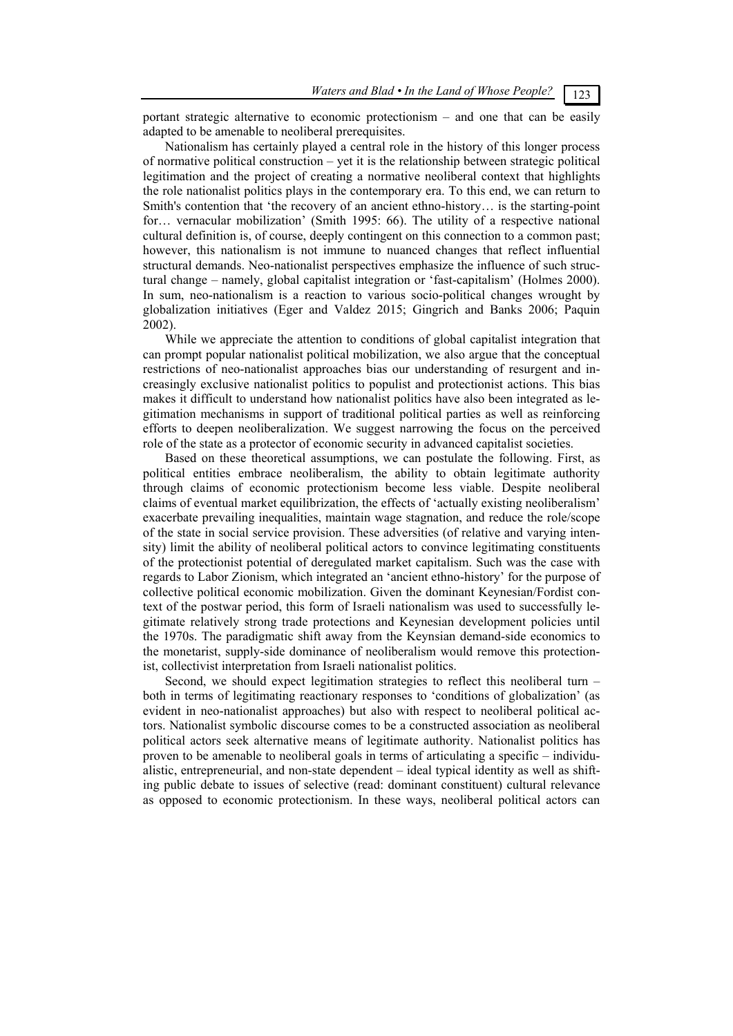portant strategic alternative to economic protectionism – and one that can be easily adapted to be amenable to neoliberal prerequisites.

Nationalism has certainly played a central role in the history of this longer process of normative political construction – yet it is the relationship between strategic political legitimation and the project of creating a normative neoliberal context that highlights the role nationalist politics plays in the contemporary era. To this end, we can return to Smith's contention that 'the recovery of an ancient ethno-history… is the starting-point for… vernacular mobilization' (Smith 1995: 66). The utility of a respective national cultural definition is, of course, deeply contingent on this connection to a common past; however, this nationalism is not immune to nuanced changes that reflect influential structural demands. Neo-nationalist perspectives emphasize the influence of such structural change – namely, global capitalist integration or 'fast-capitalism' (Holmes 2000). In sum, neo-nationalism is a reaction to various socio-political changes wrought by globalization initiatives (Eger and Valdez 2015; Gingrich and Banks 2006; Paquin 2002).

While we appreciate the attention to conditions of global capitalist integration that can prompt popular nationalist political mobilization, we also argue that the conceptual restrictions of neo-nationalist approaches bias our understanding of resurgent and increasingly exclusive nationalist politics to populist and protectionist actions. This bias makes it difficult to understand how nationalist politics have also been integrated as legitimation mechanisms in support of traditional political parties as well as reinforcing efforts to deepen neoliberalization. We suggest narrowing the focus on the perceived role of the state as a protector of economic security in advanced capitalist societies.

Based on these theoretical assumptions, we can postulate the following. First, as political entities embrace neoliberalism, the ability to obtain legitimate authority through claims of economic protectionism become less viable. Despite neoliberal claims of eventual market equilibrization, the effects of 'actually existing neoliberalism' exacerbate prevailing inequalities, maintain wage stagnation, and reduce the role/scope of the state in social service provision. These adversities (of relative and varying intensity) limit the ability of neoliberal political actors to convince legitimating constituents of the protectionist potential of deregulated market capitalism. Such was the case with regards to Labor Zionism, which integrated an 'ancient ethno-history' for the purpose of collective political economic mobilization. Given the dominant Keynesian/Fordist context of the postwar period, this form of Israeli nationalism was used to successfully legitimate relatively strong trade protections and Keynesian development policies until the 1970s. The paradigmatic shift away from the Keynsian demand-side economics to the monetarist, supply-side dominance of neoliberalism would remove this protectionist, collectivist interpretation from Israeli nationalist politics.

Second, we should expect legitimation strategies to reflect this neoliberal turn – both in terms of legitimating reactionary responses to 'conditions of globalization' (as evident in neo-nationalist approaches) but also with respect to neoliberal political actors. Nationalist symbolic discourse comes to be a constructed association as neoliberal political actors seek alternative means of legitimate authority. Nationalist politics has proven to be amenable to neoliberal goals in terms of articulating a specific – individualistic, entrepreneurial, and non-state dependent – ideal typical identity as well as shifting public debate to issues of selective (read: dominant constituent) cultural relevance as opposed to economic protectionism. In these ways, neoliberal political actors can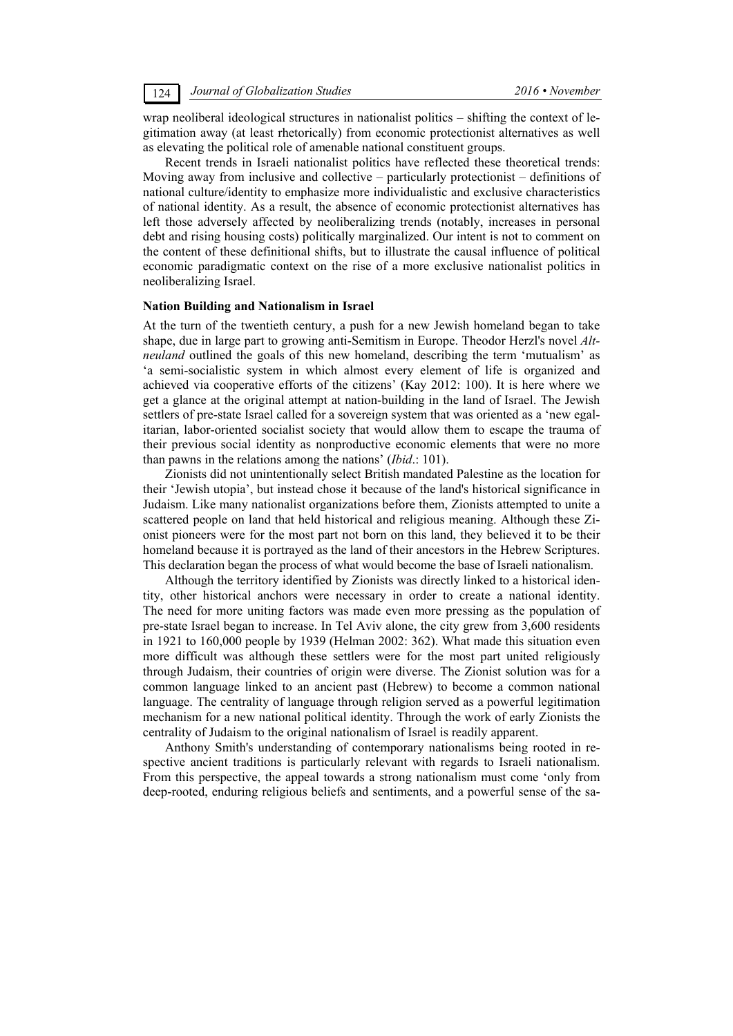wrap neoliberal ideological structures in nationalist politics – shifting the context of legitimation away (at least rhetorically) from economic protectionist alternatives as well as elevating the political role of amenable national constituent groups.

Recent trends in Israeli nationalist politics have reflected these theoretical trends: Moving away from inclusive and collective – particularly protectionist – definitions of national culture/identity to emphasize more individualistic and exclusive characteristics of national identity. As a result, the absence of economic protectionist alternatives has left those adversely affected by neoliberalizing trends (notably, increases in personal debt and rising housing costs) politically marginalized. Our intent is not to comment on the content of these definitional shifts, but to illustrate the causal influence of political economic paradigmatic context on the rise of a more exclusive nationalist politics in neoliberalizing Israel.

#### **Nation Building and Nationalism in Israel**

At the turn of the twentieth century, a push for a new Jewish homeland began to take shape, due in large part to growing anti-Semitism in Europe. Theodor Herzl's novel *Altneuland* outlined the goals of this new homeland, describing the term 'mutualism' as 'a semi-socialistic system in which almost every element of life is organized and achieved via cooperative efforts of the citizens' (Kay 2012: 100). It is here where we get a glance at the original attempt at nation-building in the land of Israel. The Jewish settlers of pre-state Israel called for a sovereign system that was oriented as a 'new egalitarian, labor-oriented socialist society that would allow them to escape the trauma of their previous social identity as nonproductive economic elements that were no more than pawns in the relations among the nations' (*Ibid*.: 101).

Zionists did not unintentionally select British mandated Palestine as the location for their 'Jewish utopia', but instead chose it because of the land's historical significance in Judaism. Like many nationalist organizations before them, Zionists attempted to unite a scattered people on land that held historical and religious meaning. Although these Zionist pioneers were for the most part not born on this land, they believed it to be their homeland because it is portrayed as the land of their ancestors in the Hebrew Scriptures. This declaration began the process of what would become the base of Israeli nationalism.

Although the territory identified by Zionists was directly linked to a historical identity, other historical anchors were necessary in order to create a national identity. The need for more uniting factors was made even more pressing as the population of pre-state Israel began to increase. In Tel Aviv alone, the city grew from 3,600 residents in 1921 to 160,000 people by 1939 (Helman 2002: 362). What made this situation even more difficult was although these settlers were for the most part united religiously through Judaism, their countries of origin were diverse. The Zionist solution was for a common language linked to an ancient past (Hebrew) to become a common national language. The centrality of language through religion served as a powerful legitimation mechanism for a new national political identity. Through the work of early Zionists the centrality of Judaism to the original nationalism of Israel is readily apparent.

Anthony Smith's understanding of contemporary nationalisms being rooted in respective ancient traditions is particularly relevant with regards to Israeli nationalism. From this perspective, the appeal towards a strong nationalism must come 'only from deep-rooted, enduring religious beliefs and sentiments, and a powerful sense of the sa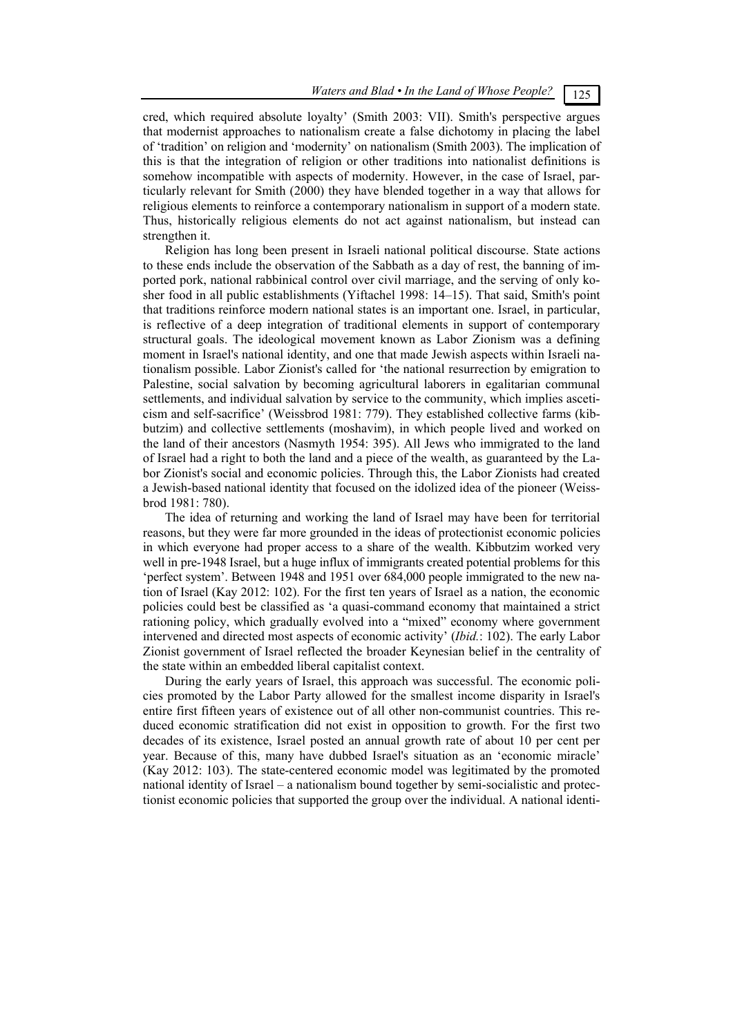cred, which required absolute loyalty' (Smith 2003: VII). Smith's perspective argues that modernist approaches to nationalism create a false dichotomy in placing the label of 'tradition' on religion and 'modernity' on nationalism (Smith 2003). The implication of this is that the integration of religion or other traditions into nationalist definitions is somehow incompatible with aspects of modernity. However, in the case of Israel, particularly relevant for Smith (2000) they have blended together in a way that allows for religious elements to reinforce a contemporary nationalism in support of a modern state. Thus, historically religious elements do not act against nationalism, but instead can strengthen it.

Religion has long been present in Israeli national political discourse. State actions to these ends include the observation of the Sabbath as a day of rest, the banning of imported pork, national rabbinical control over civil marriage, and the serving of only kosher food in all public establishments (Yiftachel 1998: 14–15). That said, Smith's point that traditions reinforce modern national states is an important one. Israel, in particular, is reflective of a deep integration of traditional elements in support of contemporary structural goals. The ideological movement known as Labor Zionism was a defining moment in Israel's national identity, and one that made Jewish aspects within Israeli nationalism possible. Labor Zionist's called for 'the national resurrection by emigration to Palestine, social salvation by becoming agricultural laborers in egalitarian communal settlements, and individual salvation by service to the community, which implies asceticism and self-sacrifice' (Weissbrod 1981: 779). They established collective farms (kibbutzim) and collective settlements (moshavim), in which people lived and worked on the land of their ancestors (Nasmyth 1954: 395). All Jews who immigrated to the land of Israel had a right to both the land and a piece of the wealth, as guaranteed by the Labor Zionist's social and economic policies. Through this, the Labor Zionists had created a Jewish-based national identity that focused on the idolized idea of the pioneer (Weissbrod 1981: 780).

The idea of returning and working the land of Israel may have been for territorial reasons, but they were far more grounded in the ideas of protectionist economic policies in which everyone had proper access to a share of the wealth. Kibbutzim worked very well in pre-1948 Israel, but a huge influx of immigrants created potential problems for this 'perfect system'. Between 1948 and 1951 over 684,000 people immigrated to the new nation of Israel (Kay 2012: 102). For the first ten years of Israel as a nation, the economic policies could best be classified as 'a quasi-command economy that maintained a strict rationing policy, which gradually evolved into a "mixed" economy where government intervened and directed most aspects of economic activity' (*Ibid.*: 102). The early Labor Zionist government of Israel reflected the broader Keynesian belief in the centrality of the state within an embedded liberal capitalist context.

During the early years of Israel, this approach was successful. The economic policies promoted by the Labor Party allowed for the smallest income disparity in Israel's entire first fifteen years of existence out of all other non-communist countries. This reduced economic stratification did not exist in opposition to growth. For the first two decades of its existence, Israel posted an annual growth rate of about 10 per cent per year. Because of this, many have dubbed Israel's situation as an 'economic miracle' (Kay 2012: 103). The state-centered economic model was legitimated by the promoted national identity of Israel – a nationalism bound together by semi-socialistic and protectionist economic policies that supported the group over the individual. A national identi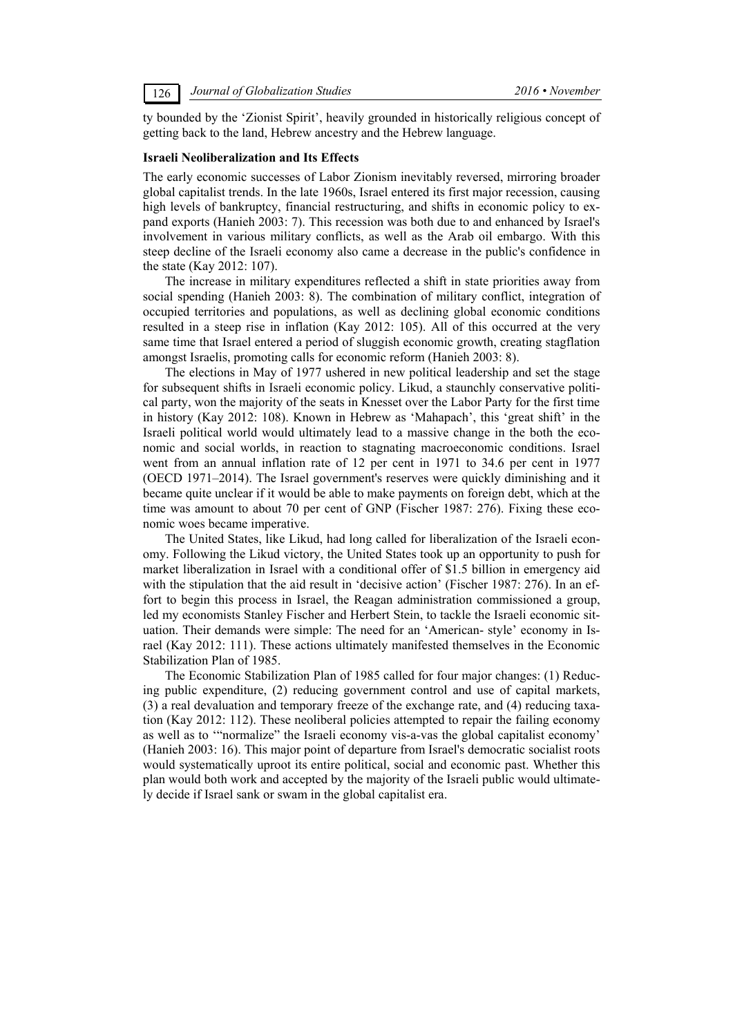ty bounded by the 'Zionist Spirit', heavily grounded in historically religious concept of getting back to the land, Hebrew ancestry and the Hebrew language.

#### **Israeli Neoliberalization and Its Effects**

The early economic successes of Labor Zionism inevitably reversed, mirroring broader global capitalist trends. In the late 1960s, Israel entered its first major recession, causing high levels of bankruptcy, financial restructuring, and shifts in economic policy to expand exports (Hanieh 2003: 7). This recession was both due to and enhanced by Israel's involvement in various military conflicts, as well as the Arab oil embargo. With this steep decline of the Israeli economy also came a decrease in the public's confidence in the state (Kay 2012: 107).

The increase in military expenditures reflected a shift in state priorities away from social spending (Hanieh 2003: 8). The combination of military conflict, integration of occupied territories and populations, as well as declining global economic conditions resulted in a steep rise in inflation (Kay 2012: 105). All of this occurred at the very same time that Israel entered a period of sluggish economic growth, creating stagflation amongst Israelis, promoting calls for economic reform (Hanieh 2003: 8).

The elections in May of 1977 ushered in new political leadership and set the stage for subsequent shifts in Israeli economic policy. Likud, a staunchly conservative political party, won the majority of the seats in Knesset over the Labor Party for the first time in history (Kay 2012: 108). Known in Hebrew as 'Mahapach', this 'great shift' in the Israeli political world would ultimately lead to a massive change in the both the economic and social worlds, in reaction to stagnating macroeconomic conditions. Israel went from an annual inflation rate of 12 per cent in 1971 to 34.6 per cent in 1977 (OECD 1971–2014). The Israel government's reserves were quickly diminishing and it became quite unclear if it would be able to make payments on foreign debt, which at the time was amount to about 70 per cent of GNP (Fischer 1987: 276). Fixing these economic woes became imperative.

The United States, like Likud, had long called for liberalization of the Israeli economy. Following the Likud victory, the United States took up an opportunity to push for market liberalization in Israel with a conditional offer of \$1.5 billion in emergency aid with the stipulation that the aid result in 'decisive action' (Fischer 1987: 276). In an effort to begin this process in Israel, the Reagan administration commissioned a group, led my economists Stanley Fischer and Herbert Stein, to tackle the Israeli economic situation. Their demands were simple: The need for an 'American- style' economy in Israel (Kay 2012: 111). These actions ultimately manifested themselves in the Economic Stabilization Plan of 1985.

The Economic Stabilization Plan of 1985 called for four major changes: (1) Reducing public expenditure, (2) reducing government control and use of capital markets, (3) a real devaluation and temporary freeze of the exchange rate, and (4) reducing taxation (Kay 2012: 112). These neoliberal policies attempted to repair the failing economy as well as to '"normalize" the Israeli economy vis-a-vas the global capitalist economy' (Hanieh 2003: 16). This major point of departure from Israel's democratic socialist roots would systematically uproot its entire political, social and economic past. Whether this plan would both work and accepted by the majority of the Israeli public would ultimately decide if Israel sank or swam in the global capitalist era.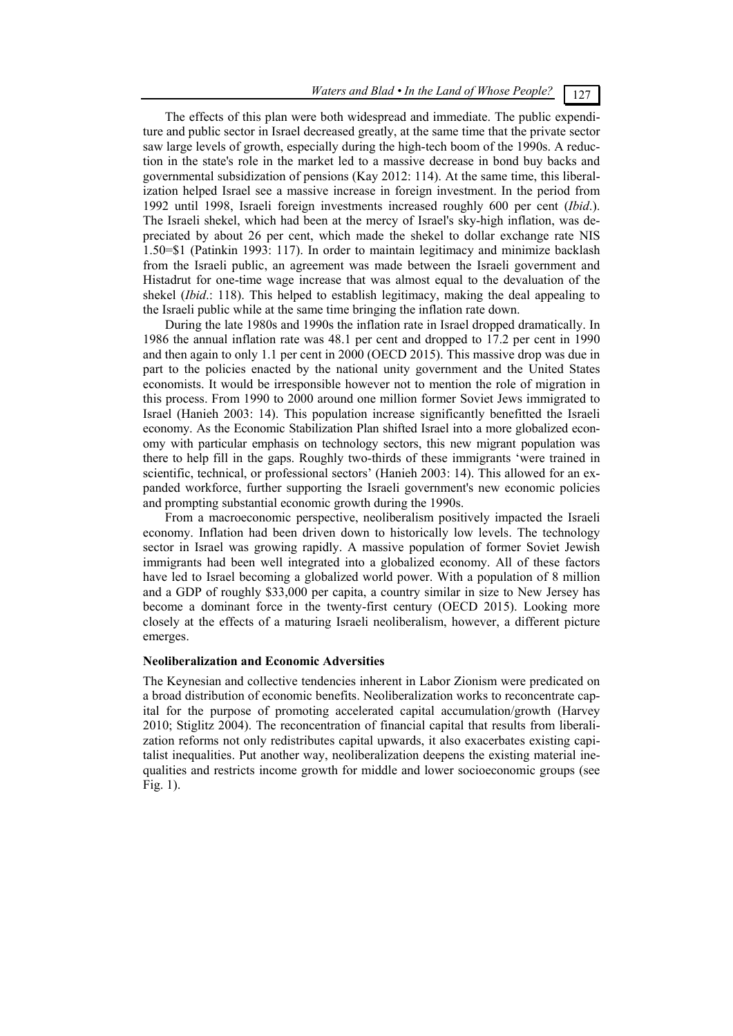The effects of this plan were both widespread and immediate. The public expenditure and public sector in Israel decreased greatly, at the same time that the private sector saw large levels of growth, especially during the high-tech boom of the 1990s. A reduction in the state's role in the market led to a massive decrease in bond buy backs and governmental subsidization of pensions (Kay 2012: 114). At the same time, this liberalization helped Israel see a massive increase in foreign investment. In the period from 1992 until 1998, Israeli foreign investments increased roughly 600 per cent (*Ibid*.). The Israeli shekel, which had been at the mercy of Israel's sky-high inflation, was depreciated by about 26 per cent, which made the shekel to dollar exchange rate NIS 1.50=\$1 (Patinkin 1993: 117). In order to maintain legitimacy and minimize backlash from the Israeli public, an agreement was made between the Israeli government and Histadrut for one-time wage increase that was almost equal to the devaluation of the shekel (*Ibid*.: 118). This helped to establish legitimacy, making the deal appealing to the Israeli public while at the same time bringing the inflation rate down.

During the late 1980s and 1990s the inflation rate in Israel dropped dramatically. In 1986 the annual inflation rate was 48.1 per cent and dropped to 17.2 per cent in 1990 and then again to only 1.1 per cent in 2000 (OECD 2015). This massive drop was due in part to the policies enacted by the national unity government and the United States economists. It would be irresponsible however not to mention the role of migration in this process. From 1990 to 2000 around one million former Soviet Jews immigrated to Israel (Hanieh 2003: 14). This population increase significantly benefitted the Israeli economy. As the Economic Stabilization Plan shifted Israel into a more globalized economy with particular emphasis on technology sectors, this new migrant population was there to help fill in the gaps. Roughly two-thirds of these immigrants 'were trained in scientific, technical, or professional sectors' (Hanieh 2003: 14). This allowed for an expanded workforce, further supporting the Israeli government's new economic policies and prompting substantial economic growth during the 1990s.

From a macroeconomic perspective, neoliberalism positively impacted the Israeli economy. Inflation had been driven down to historically low levels. The technology sector in Israel was growing rapidly. A massive population of former Soviet Jewish immigrants had been well integrated into a globalized economy. All of these factors have led to Israel becoming a globalized world power. With a population of 8 million and a GDP of roughly \$33,000 per capita, a country similar in size to New Jersey has become a dominant force in the twenty-first century (OECD 2015). Looking more closely at the effects of a maturing Israeli neoliberalism, however, a different picture emerges.

#### **Neoliberalization and Economic Adversities**

The Keynesian and collective tendencies inherent in Labor Zionism were predicated on a broad distribution of economic benefits. Neoliberalization works to reconcentrate capital for the purpose of promoting accelerated capital accumulation/growth (Harvey 2010; Stiglitz 2004). The reconcentration of financial capital that results from liberalization reforms not only redistributes capital upwards, it also exacerbates existing capitalist inequalities. Put another way, neoliberalization deepens the existing material inequalities and restricts income growth for middle and lower socioeconomic groups (see Fig. 1).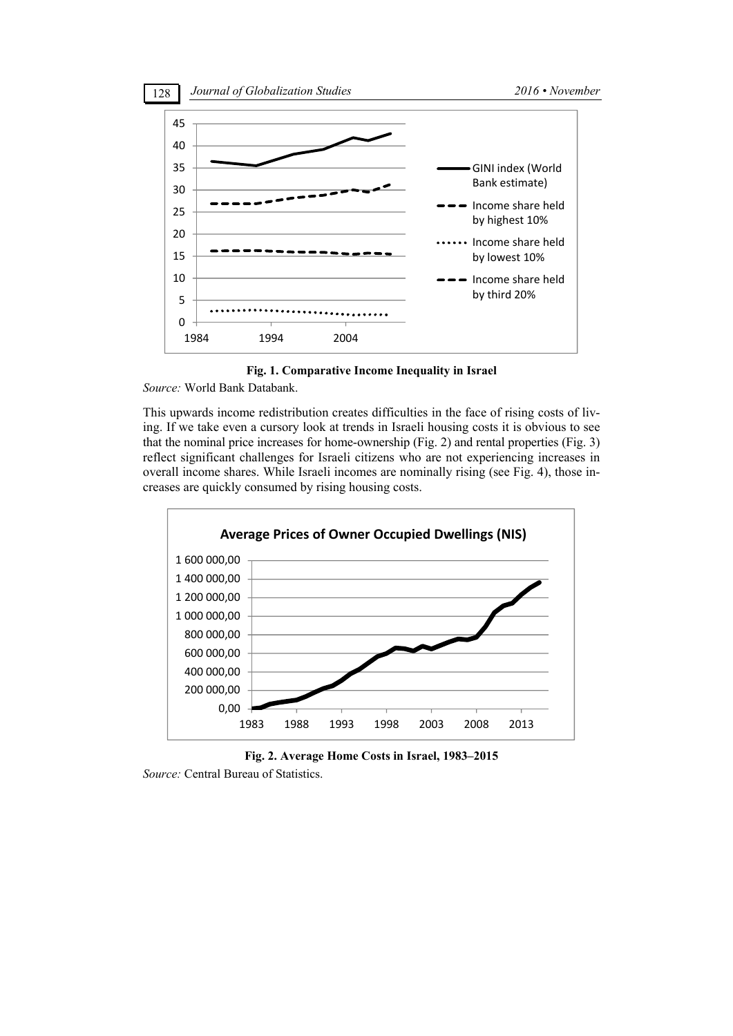

**Fig. 1. Comparative Income Inequality in Israel** 

*Source:* World Bank Databank.

This upwards income redistribution creates difficulties in the face of rising costs of living. If we take even a cursory look at trends in Israeli housing costs it is obvious to see that the nominal price increases for home-ownership (Fig. 2) and rental properties (Fig. 3) reflect significant challenges for Israeli citizens who are not experiencing increases in overall income shares. While Israeli incomes are nominally rising (see Fig. 4), those increases are quickly consumed by rising housing costs.



**Fig. 2. Average Home Costs in Israel, 1983–2015**  *Source:* Central Bureau of Statistics.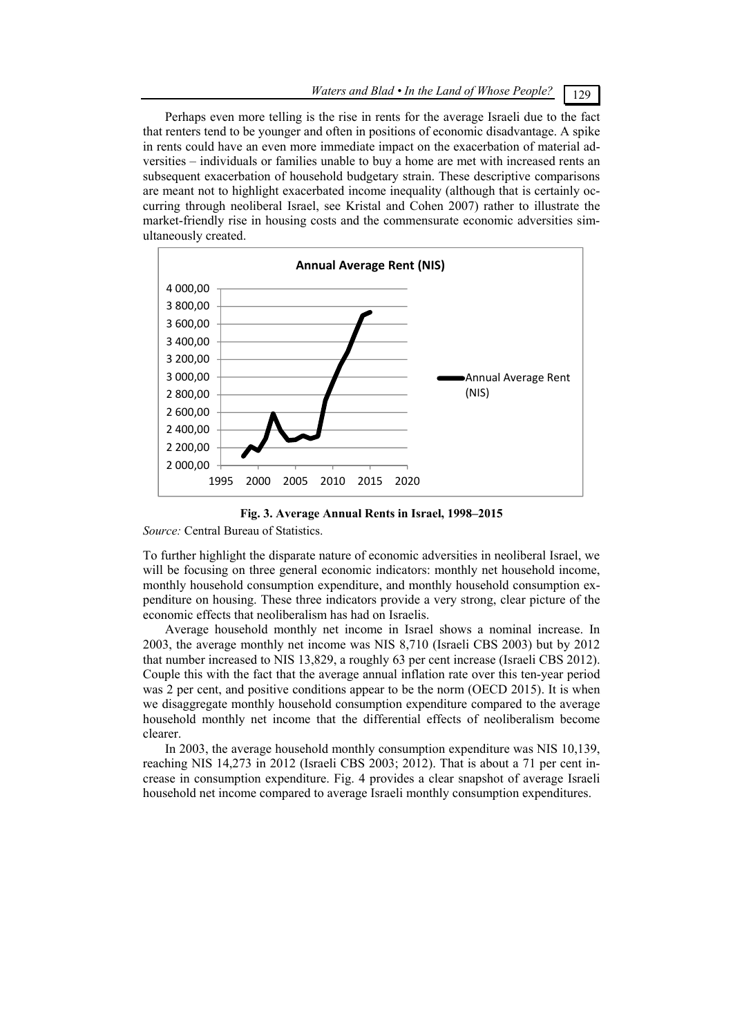Perhaps even more telling is the rise in rents for the average Israeli due to the fact that renters tend to be younger and often in positions of economic disadvantage. A spike in rents could have an even more immediate impact on the exacerbation of material adversities – individuals or families unable to buy a home are met with increased rents an subsequent exacerbation of household budgetary strain. These descriptive comparisons are meant not to highlight exacerbated income inequality (although that is certainly occurring through neoliberal Israel, see Kristal and Cohen 2007) rather to illustrate the market-friendly rise in housing costs and the commensurate economic adversities simultaneously created.





*Source:* Central Bureau of Statistics.

To further highlight the disparate nature of economic adversities in neoliberal Israel, we will be focusing on three general economic indicators: monthly net household income, monthly household consumption expenditure, and monthly household consumption expenditure on housing. These three indicators provide a very strong, clear picture of the economic effects that neoliberalism has had on Israelis.

Average household monthly net income in Israel shows a nominal increase. In 2003, the average monthly net income was NIS 8,710 (Israeli CBS 2003) but by 2012 that number increased to NIS 13,829, a roughly 63 per cent increase (Israeli CBS 2012). Couple this with the fact that the average annual inflation rate over this ten-year period was 2 per cent, and positive conditions appear to be the norm (OECD 2015). It is when we disaggregate monthly household consumption expenditure compared to the average household monthly net income that the differential effects of neoliberalism become clearer.

In 2003, the average household monthly consumption expenditure was NIS 10,139, reaching NIS 14,273 in 2012 (Israeli CBS 2003; 2012). That is about a 71 per cent increase in consumption expenditure. Fig. 4 provides a clear snapshot of average Israeli household net income compared to average Israeli monthly consumption expenditures.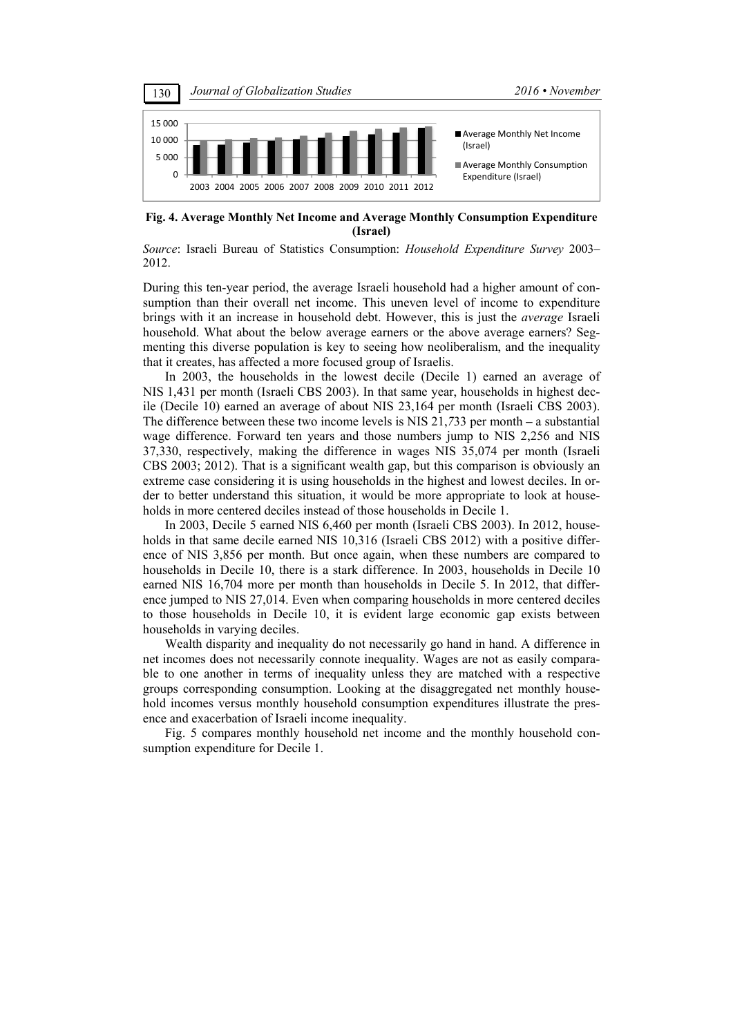

**Fig. 4. Average Monthly Net Income and Average Monthly Consumption Expenditure (Israel)** 

*Source*: Israeli Bureau of Statistics Consumption: *Household Expenditure Survey* 2003– 2012.

During this ten-year period, the average Israeli household had a higher amount of consumption than their overall net income. This uneven level of income to expenditure brings with it an increase in household debt. However, this is just the *average* Israeli household. What about the below average earners or the above average earners? Segmenting this diverse population is key to seeing how neoliberalism, and the inequality that it creates, has affected a more focused group of Israelis.

In 2003, the households in the lowest decile (Decile 1) earned an average of NIS 1,431 per month (Israeli CBS 2003). In that same year, households in highest decile (Decile 10) earned an average of about NIS 23,164 per month (Israeli CBS 2003). The difference between these two income levels is NIS 21,*7*33 per month **–** a substantial wage difference. Forward ten years and those numbers jump to NIS 2,256 and NIS 37,330, respectively, making the difference in wages NIS 35,074 per month (Israeli CBS 2003; 2012). That is a significant wealth gap, but this comparison is obviously an extreme case considering it is using households in the highest and lowest deciles. In order to better understand this situation, it would be more appropriate to look at households in more centered deciles instead of those households in Decile 1.

In 2003, Decile 5 earned NIS 6,460 per month (Israeli CBS 2003). In 2012, households in that same decile earned NIS 10,316 (Israeli CBS 2012) with a positive difference of NIS 3,856 per month. But once again, when these numbers are compared to households in Decile 10, there is a stark difference. In 2003, households in Decile 10 earned NIS 16,704 more per month than households in Decile 5. In 2012, that difference jumped to NIS 27,014. Even when comparing households in more centered deciles to those households in Decile 10, it is evident large economic gap exists between households in varying deciles.

Wealth disparity and inequality do not necessarily go hand in hand. A difference in net incomes does not necessarily connote inequality. Wages are not as easily comparable to one another in terms of inequality unless they are matched with a respective groups corresponding consumption. Looking at the disaggregated net monthly household incomes versus monthly household consumption expenditures illustrate the presence and exacerbation of Israeli income inequality.

Fig. 5 compares monthly household net income and the monthly household consumption expenditure for Decile 1.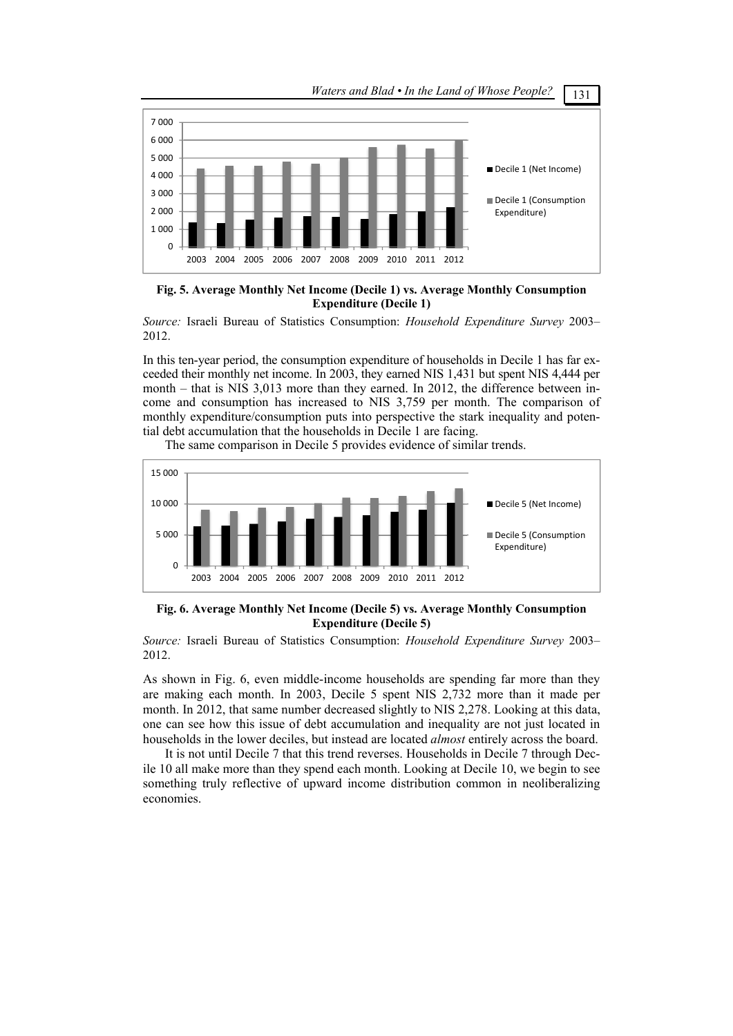

**Fig. 5. Average Monthly Net Income (Decile 1) vs. Average Monthly Consumption Expenditure (Decile 1)** 

*Source:* Israeli Bureau of Statistics Consumption: *Household Expenditure Survey* 2003– 2012.

In this ten-year period, the consumption expenditure of households in Decile 1 has far exceeded their monthly net income. In 2003, they earned NIS 1,431 but spent NIS 4,444 per month – that is NIS 3,013 more than they earned. In 2012, the difference between income and consumption has increased to NIS 3,759 per month. The comparison of monthly expenditure/consumption puts into perspective the stark inequality and potential debt accumulation that the households in Decile 1 are facing.

The same comparison in Decile 5 provides evidence of similar trends.



**Fig. 6. Average Monthly Net Income (Decile 5) vs. Average Monthly Consumption Expenditure (Decile 5)** 

*Source:* Israeli Bureau of Statistics Consumption: *Household Expenditure Survey* 2003– 2012.

As shown in Fig. 6, even middle-income households are spending far more than they are making each month. In 2003, Decile 5 spent NIS 2,732 more than it made per month. In 2012, that same number decreased slightly to NIS 2,278. Looking at this data, one can see how this issue of debt accumulation and inequality are not just located in households in the lower deciles, but instead are located *almost* entirely across the board.

It is not until Decile 7 that this trend reverses. Households in Decile 7 through Decile 10 all make more than they spend each month. Looking at Decile 10, we begin to see something truly reflective of upward income distribution common in neoliberalizing economies.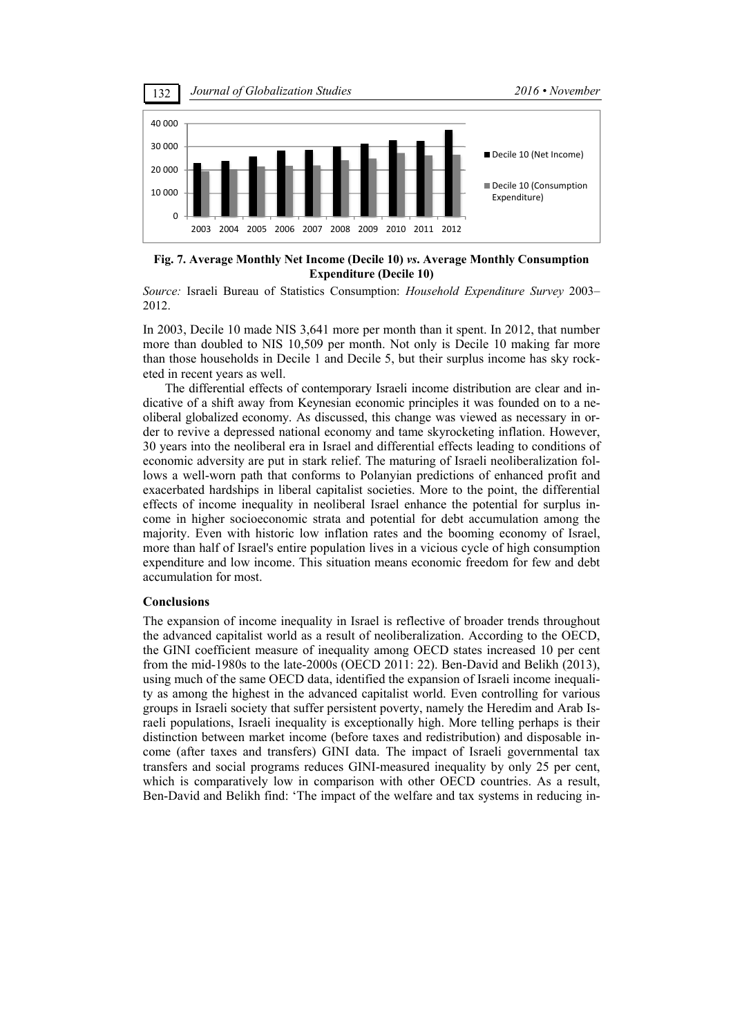

**Fig. 7. Average Monthly Net Income (Decile 10)** *vs***. Average Monthly Consumption Expenditure (Decile 10)** 

*Source:* Israeli Bureau of Statistics Consumption: *Household Expenditure Survey* 2003– 2012.

In 2003, Decile 10 made NIS 3,641 more per month than it spent. In 2012, that number more than doubled to NIS 10,509 per month. Not only is Decile 10 making far more than those households in Decile 1 and Decile 5, but their surplus income has sky rocketed in recent years as well.

The differential effects of contemporary Israeli income distribution are clear and indicative of a shift away from Keynesian economic principles it was founded on to a neoliberal globalized economy. As discussed, this change was viewed as necessary in order to revive a depressed national economy and tame skyrocketing inflation. However, 30 years into the neoliberal era in Israel and differential effects leading to conditions of economic adversity are put in stark relief. The maturing of Israeli neoliberalization follows a well-worn path that conforms to Polanyian predictions of enhanced profit and exacerbated hardships in liberal capitalist societies. More to the point, the differential effects of income inequality in neoliberal Israel enhance the potential for surplus income in higher socioeconomic strata and potential for debt accumulation among the majority. Even with historic low inflation rates and the booming economy of Israel, more than half of Israel's entire population lives in a vicious cycle of high consumption expenditure and low income. This situation means economic freedom for few and debt accumulation for most.

#### **Conclusions**

The expansion of income inequality in Israel is reflective of broader trends throughout the advanced capitalist world as a result of neoliberalization. According to the OECD, the GINI coefficient measure of inequality among OECD states increased 10 per cent from the mid-1980s to the late-2000s (OECD 2011: 22). Ben-David and Belikh (2013), using much of the same OECD data, identified the expansion of Israeli income inequality as among the highest in the advanced capitalist world. Even controlling for various groups in Israeli society that suffer persistent poverty, namely the Heredim and Arab Israeli populations, Israeli inequality is exceptionally high. More telling perhaps is their distinction between market income (before taxes and redistribution) and disposable income (after taxes and transfers) GINI data. The impact of Israeli governmental tax transfers and social programs reduces GINI-measured inequality by only 25 per cent, which is comparatively low in comparison with other OECD countries. As a result, Ben-David and Belikh find: 'The impact of the welfare and tax systems in reducing in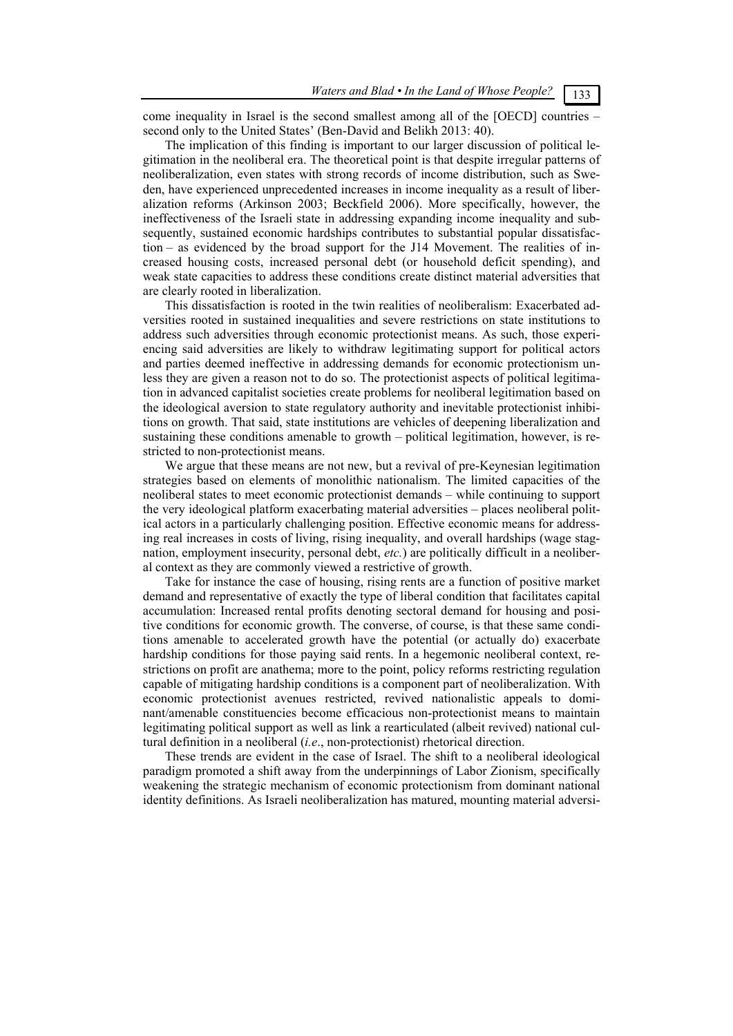come inequality in Israel is the second smallest among all of the [OECD] countries – second only to the United States' (Ben-David and Belikh 2013: 40).

The implication of this finding is important to our larger discussion of political legitimation in the neoliberal era. The theoretical point is that despite irregular patterns of neoliberalization, even states with strong records of income distribution, such as Sweden, have experienced unprecedented increases in income inequality as a result of liberalization reforms (Arkinson 2003; Beckfield 2006). More specifically, however, the ineffectiveness of the Israeli state in addressing expanding income inequality and subsequently, sustained economic hardships contributes to substantial popular dissatisfaction – as evidenced by the broad support for the J14 Movement. The realities of increased housing costs, increased personal debt (or household deficit spending), and weak state capacities to address these conditions create distinct material adversities that are clearly rooted in liberalization.

This dissatisfaction is rooted in the twin realities of neoliberalism: Exacerbated adversities rooted in sustained inequalities and severe restrictions on state institutions to address such adversities through economic protectionist means. As such, those experiencing said adversities are likely to withdraw legitimating support for political actors and parties deemed ineffective in addressing demands for economic protectionism unless they are given a reason not to do so. The protectionist aspects of political legitimation in advanced capitalist societies create problems for neoliberal legitimation based on the ideological aversion to state regulatory authority and inevitable protectionist inhibitions on growth. That said, state institutions are vehicles of deepening liberalization and sustaining these conditions amenable to growth – political legitimation, however, is restricted to non-protectionist means.

We argue that these means are not new, but a revival of pre-Keynesian legitimation strategies based on elements of monolithic nationalism. The limited capacities of the neoliberal states to meet economic protectionist demands – while continuing to support the very ideological platform exacerbating material adversities – places neoliberal political actors in a particularly challenging position. Effective economic means for addressing real increases in costs of living, rising inequality, and overall hardships (wage stagnation, employment insecurity, personal debt, *etc.*) are politically difficult in a neoliberal context as they are commonly viewed a restrictive of growth.

Take for instance the case of housing, rising rents are a function of positive market demand and representative of exactly the type of liberal condition that facilitates capital accumulation: Increased rental profits denoting sectoral demand for housing and positive conditions for economic growth. The converse, of course, is that these same conditions amenable to accelerated growth have the potential (or actually do) exacerbate hardship conditions for those paying said rents. In a hegemonic neoliberal context, restrictions on profit are anathema; more to the point, policy reforms restricting regulation capable of mitigating hardship conditions is a component part of neoliberalization. With economic protectionist avenues restricted, revived nationalistic appeals to dominant/amenable constituencies become efficacious non-protectionist means to maintain legitimating political support as well as link a rearticulated (albeit revived) national cultural definition in a neoliberal (*i.e*., non-protectionist) rhetorical direction.

These trends are evident in the case of Israel. The shift to a neoliberal ideological paradigm promoted a shift away from the underpinnings of Labor Zionism, specifically weakening the strategic mechanism of economic protectionism from dominant national identity definitions. As Israeli neoliberalization has matured, mounting material adversi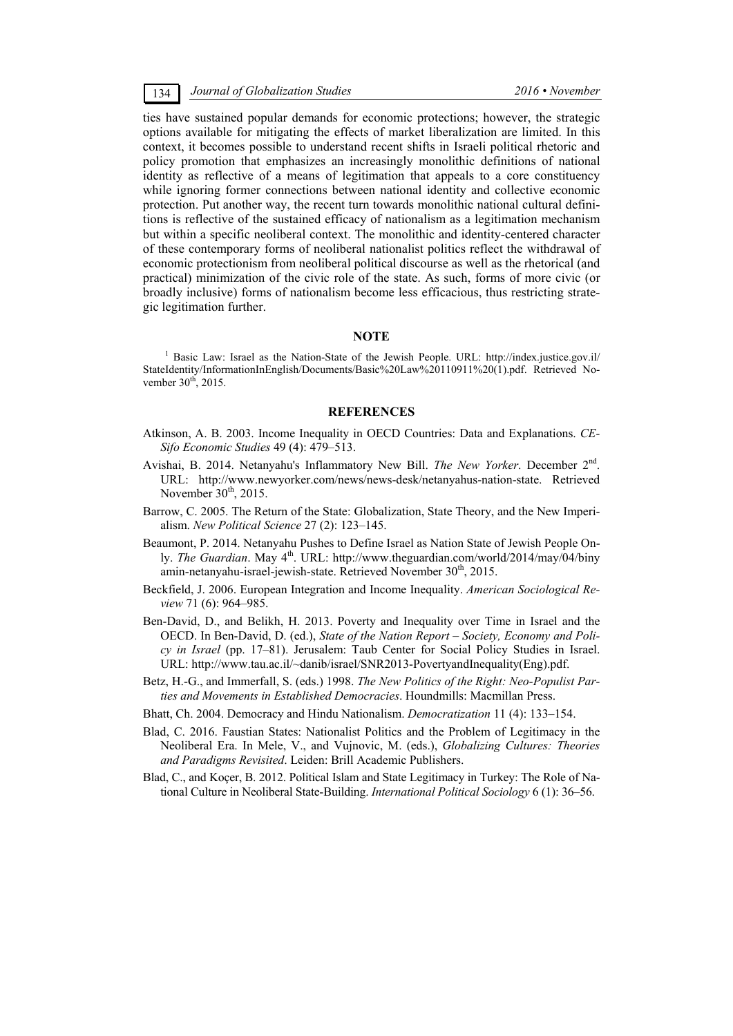ties have sustained popular demands for economic protections; however, the strategic options available for mitigating the effects of market liberalization are limited. In this context, it becomes possible to understand recent shifts in Israeli political rhetoric and policy promotion that emphasizes an increasingly monolithic definitions of national identity as reflective of a means of legitimation that appeals to a core constituency while ignoring former connections between national identity and collective economic protection. Put another way, the recent turn towards monolithic national cultural definitions is reflective of the sustained efficacy of nationalism as a legitimation mechanism but within a specific neoliberal context. The monolithic and identity-centered character of these contemporary forms of neoliberal nationalist politics reflect the withdrawal of economic protectionism from neoliberal political discourse as well as the rhetorical (and practical) minimization of the civic role of the state. As such, forms of more civic (or broadly inclusive) forms of nationalism become less efficacious, thus restricting strategic legitimation further.

#### **NOTE**

<sup>1</sup> Basic Law: Israel as the Nation-State of the Jewish People. URL: http://index.justice.gov.il/ StateIdentity/InformationInEnglish/Documents/Basic%20Law%20110911%20(1).pdf. Retrieved November  $30^{th}$ , 2015.

#### **REFERENCES**

- Atkinson, A. B. 2003. Income Inequality in OECD Countries: Data and Explanations. *CE-Sifo Economic Studies* 49 (4): 479–513.
- Avishai, B. 2014. Netanyahu's Inflammatory New Bill. *The New Yorker*. December 2nd. URL: http://www.newyorker.com/news/news-desk/netanyahus-nation-state. Retrieved November  $30<sup>th</sup>$ , 2015.
- Barrow, C. 2005. The Return of the State: Globalization, State Theory, and the New Imperialism. *New Political Science* 27 (2): 123–145.
- Beaumont, P. 2014. Netanyahu Pushes to Define Israel as Nation State of Jewish People Only. *The Guardian*. May 4<sup>th</sup>. URL: http://www.theguardian.com/world/2014/may/04/biny amin-netanyahu-israel-jewish-state. Retrieved November 30<sup>th</sup>, 2015.
- Beckfield, J. 2006. European Integration and Income Inequality. *American Sociological Review* 71 (6): 964–985.
- Ben-David, D., and Belikh, H. 2013. Poverty and Inequality over Time in Israel and the OECD. In Ben-David, D. (ed.), *State of the Nation Report – Society, Economy and Policy in Israel* (pp. 17–81). Jerusalem: Taub Center for Social Policy Studies in Israel. URL: http://www.tau.ac.il/~danib/israel/SNR2013-PovertyandInequality(Eng).pdf.
- Betz, H.-G., and Immerfall, S. (eds.) 1998. *The New Politics of the Right: Neo-Populist Parties and Movements in Established Democracies*. Houndmills: Macmillan Press.
- Bhatt, Ch. 2004. Democracy and Hindu Nationalism. *Democratization* 11 (4): 133–154.
- Blad, C. 2016. Faustian States: Nationalist Politics and the Problem of Legitimacy in the Neoliberal Era. In Mele, V., and Vujnovic, M. (eds.), *Globalizing Cultures: Theories and Paradigms Revisited*. Leiden: Brill Academic Publishers.
- Blad, C., and Koçer, B. 2012. Political Islam and State Legitimacy in Turkey: The Role of National Culture in Neoliberal State-Building. *International Political Sociology* 6 (1): 36–56.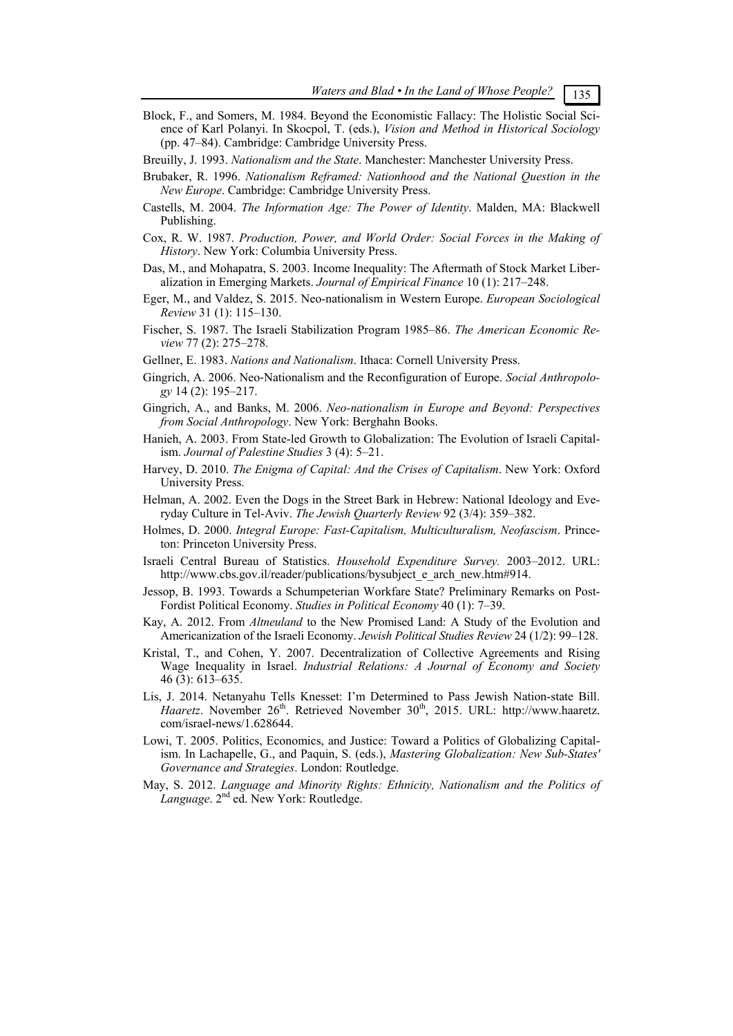- Block, F., and Somers, M. 1984. Beyond the Economistic Fallacy: The Holistic Social Science of Karl Polanyi. In Skocpol, T. (eds.), *Vision and Method in Historical Sociology* (pp. 47–84). Cambridge: Cambridge University Press.
- Breuilly, J. 1993. *Nationalism and the State*. Manchester: Manchester University Press.
- Brubaker, R. 1996. *Nationalism Reframed: Nationhood and the National Question in the New Europe*. Cambridge: Cambridge University Press.
- Castells, M. 2004. *The Information Age: The Power of Identity*. Malden, MA: Blackwell Publishing.
- Cox, R. W. 1987. *Production, Power, and World Order: Social Forces in the Making of History*. New York: Columbia University Press.
- Das, M., and Mohapatra, S. 2003. Income Inequality: The Aftermath of Stock Market Liberalization in Emerging Markets. *Journal of Empirical Finance* 10 (1): 217–248.
- Eger, M., and Valdez, S. 2015. Neo-nationalism in Western Europe. *European Sociological Review* 31 (1): 115–130.
- Fischer, S. 1987. The Israeli Stabilization Program 1985–86. *The American Economic Review* 77 (2): 275–278.
- Gellner, E. 1983. *Nations and Nationalism*. Ithaca: Cornell University Press.
- Gingrich, A. 2006. Neo‐Nationalism and the Reconfiguration of Europe. *Social Anthropology* 14 (2): 195–217.
- Gingrich, A., and Banks, M. 2006. *Neo-nationalism in Europe and Beyond: Perspectives from Social Anthropology*. New York: Berghahn Books.
- Hanieh, A. 2003. From State-led Growth to Globalization: The Evolution of Israeli Capitalism. *Journal of Palestine Studies* 3 (4): 5–21.
- Harvey, D. 2010. *The Enigma of Capital: And the Crises of Capitalism*. New York: Oxford University Press.
- Helman, A. 2002. Even the Dogs in the Street Bark in Hebrew: National Ideology and Everyday Culture in Tel-Aviv. *The Jewish Quarterly Review* 92 (3/4): 359–382.
- Holmes, D. 2000. *Integral Europe: Fast-Capitalism, Multiculturalism, Neofascism*. Princeton: Princeton University Press.
- Israeli Central Bureau of Statistics. *Household Expenditure Survey.* 2003–2012. URL: http://www.cbs.gov.il/reader/publications/bysubject\_e\_arch\_new.htm#914.
- Jessop, B. 1993. Towards a Schumpeterian Workfare State? Preliminary Remarks on Post-Fordist Political Economy. *Studies in Political Economy* 40 (1): 7–39.
- Kay, A. 2012. From *Altneuland* to the New Promised Land: A Study of the Evolution and Americanization of the Israeli Economy. *Jewish Political Studies Review* 24 (1/2): 99–128.
- Kristal, T., and Cohen, Y. 2007. Decentralization of Collective Agreements and Rising Wage Inequality in Israel. *Industrial Relations: A Journal of Economy and Society* 46 (3): 613–635.
- Lis, J. 2014. Netanyahu Tells Knesset: I'm Determined to Pass Jewish Nation-state Bill. Haaretz. November 26<sup>th</sup>. Retrieved November 30<sup>th</sup>, 2015. URL: http://www.haaretz. com/israel-news/1.628644.
- Lowi, T. 2005. Politics, Economics, and Justice: Toward a Politics of Globalizing Capitalism. In Lachapelle, G., and Paquin, S. (eds.), *Mastering Globalization: New Sub-States' Governance and Strategies*. London: Routledge.
- May, S. 2012. *Language and Minority Rights: Ethnicity, Nationalism and the Politics of Language*. 2<sup>nd</sup> ed. New York: Routledge.